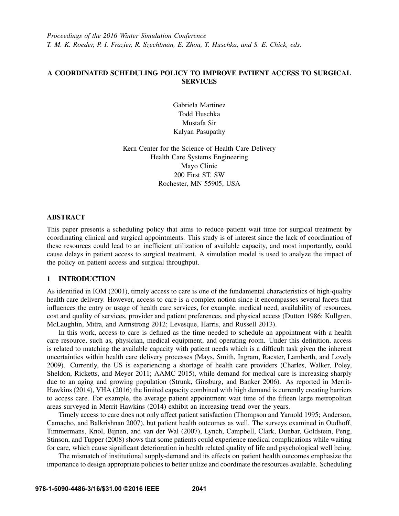*Proceedings of the 2016 Winter Simulation Conference T. M. K. Roeder, P. I. Frazier, R. Szechtman, E. Zhou, T. Huschka, and S. E. Chick, eds.*

# A COORDINATED SCHEDULING POLICY TO IMPROVE PATIENT ACCESS TO SURGICAL **SERVICES**

Gabriela Martinez Todd Huschka Mustafa Sir Kalyan Pasupathy

Kern Center for the Science of Health Care Delivery Health Care Systems Engineering Mayo Clinic 200 First ST. SW Rochester, MN 55905, USA

### **ABSTRACT**

This paper presents a scheduling policy that aims to reduce patient wait time for surgical treatment by coordinating clinical and surgical appointments. This study is of interest since the lack of coordination of these resources could lead to an inefficient utilization of available capacity, and most importantly, could cause delays in patient access to surgical treatment. A simulation model is used to analyze the impact of the policy on patient access and surgical throughput.

# 1 INTRODUCTION

As identified in IOM (2001), timely access to care is one of the fundamental characteristics of high-quality health care delivery. However, access to care is a complex notion since it encompasses several facets that influences the entry or usage of health care services, for example, medical need, availability of resources, cost and quality of services, provider and patient preferences, and physical access (Dutton 1986; Kullgren, McLaughlin, Mitra, and Armstrong 2012; Levesque, Harris, and Russell 2013).

In this work, access to care is defined as the time needed to schedule an appointment with a health care resource, such as, physician, medical equipment, and operating room. Under this definition, access is related to matching the available capacity with patient needs which is a difficult task given the inherent uncertainties within health care delivery processes (Mays, Smith, Ingram, Racster, Lamberth, and Lovely 2009). Currently, the US is experiencing a shortage of health care providers (Charles, Walker, Poley, Sheldon, Ricketts, and Meyer 2011; AAMC 2015), while demand for medical care is increasing sharply due to an aging and growing population (Strunk, Ginsburg, and Banker 2006). As reported in Merrit-Hawkins (2014), VHA (2016) the limited capacity combined with high demand is currently creating barriers to access care. For example, the average patient appointment wait time of the fifteen large metropolitan areas surveyed in Merrit-Hawkins (2014) exhibit an increasing trend over the years.

Timely access to care does not only affect patient satisfaction (Thompson and Yarnold 1995; Anderson, Camacho, and Balkrishnan 2007), but patient health outcomes as well. The surveys examined in Oudhoff, Timmermans, Knol, Bijnen, and van der Wal (2007), Lynch, Campbell, Clark, Dunbar, Goldstein, Peng, Stinson, and Tupper (2008) shows that some patients could experience medical complications while waiting for care, which cause significant deterioration in health related quality of life and psychological well being.

The mismatch of institutional supply-demand and its effects on patient health outcomes emphasize the importance to design appropriate policies to better utilize and coordinate the resources available. Scheduling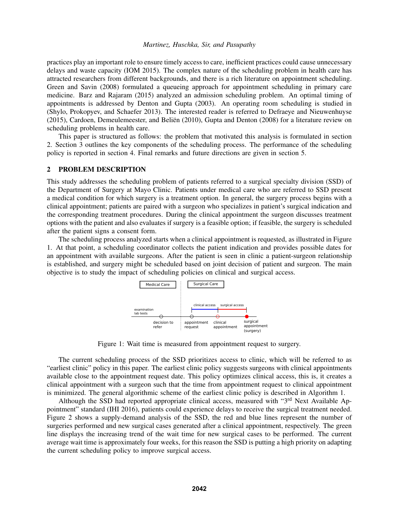practices play an important role to ensure timely access to care, inefficient practices could cause unnecessary delays and waste capacity (IOM 2015). The complex nature of the scheduling problem in health care has attracted researchers from different backgrounds, and there is a rich literature on appointment scheduling. Green and Savin (2008) formulated a queueing approach for appointment scheduling in primary care medicine. Barz and Rajaram (2015) analyzed an admission scheduling problem. An optimal timing of appointments is addressed by Denton and Gupta (2003). An operating room scheduling is studied in (Shylo, Prokopyev, and Schaefer 2013). The interested reader is referred to Defraeye and Nieuwenhuyse  $(2015)$ , Cardoen, Demeulemeester, and Beliën  $(2010)$ , Gupta and Denton  $(2008)$  for a literature review on scheduling problems in health care.

This paper is structured as follows: the problem that motivated this analysis is formulated in section 2. Section 3 outlines the key components of the scheduling process. The performance of the scheduling policy is reported in section 4. Final remarks and future directions are given in section 5.

### 2 PROBLEM DESCRIPTION

This study addresses the scheduling problem of patients referred to a surgical specialty division (SSD) of the Department of Surgery at Mayo Clinic. Patients under medical care who are referred to SSD present a medical condition for which surgery is a treatment option. In general, the surgery process begins with a clinical appointment; patients are paired with a surgeon who specializes in patient's surgical indication and the corresponding treatment procedures. During the clinical appointment the surgeon discusses treatment options with the patient and also evaluates if surgery is a feasible option; if feasible, the surgery is scheduled after the patient signs a consent form.

The scheduling process analyzed starts when a clinical appointment is requested, as illustrated in Figure 1. At that point, a scheduling coordinator collects the patient indication and provides possible dates for an appointment with available surgeons. After the patient is seen in clinic a patient-surgeon relationship is established, and surgery might be scheduled based on joint decision of patient and surgeon. The main objective is to study the impact of scheduling policies on clinical and surgical access.



Figure 1: Wait time is measured from appointment request to surgery.

The current scheduling process of the SSD prioritizes access to clinic, which will be referred to as "earliest clinic" policy in this paper. The earliest clinic policy suggests surgeons with clinical appointments available close to the appointment request date. This policy optimizes clinical access, this is, it creates a clinical appointment with a surgeon such that the time from appointment request to clinical appointment is minimized. The general algorithmic scheme of the earliest clinic policy is described in Algorithm 1.

Although the SSD had reported appropriate clinical access, measured with "3<sup>rd</sup> Next Available Appointment" standard (IHI 2016), patients could experience delays to receive the surgical treatment needed. Figure 2 shows a supply-demand analysis of the SSD, the red and blue lines represent the number of surgeries performed and new surgical cases generated after a clinical appointment, respectively. The green line displays the increasing trend of the wait time for new surgical cases to be performed. The current average wait time is approximately four weeks, for this reason the SSD is putting a high priority on adapting the current scheduling policy to improve surgical access.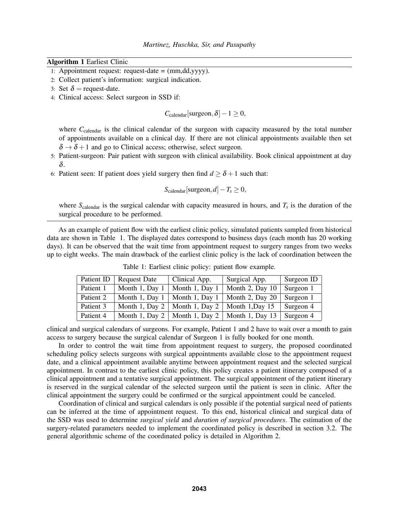### Algorithm 1 Earliest Clinic

- 1: Appointment request: request-date = (mm,dd,yyyy).
- 2: Collect patient's information: surgical indication.
- 3: Set  $\delta$  = request-date.
- 4: Clinical access: Select surgeon in SSD if:

 $C_{\text{calendar}}[\text{s−1} \geq 0,$ 

where C<sub>calendar</sub> is the clinical calendar of the surgeon with capacity measured by the total number of appointments available on a clinical day. If there are not clinical appointments available then set  $\delta \rightarrow \delta + 1$  and go to Clinical access; otherwise, select surgeon.

- 5: Patient-surgeon: Pair patient with surgeon with clinical availability. Book clinical appointment at day δ.
- 6: Patient seen: If patient does yield surgery then find  $d \geq \delta + 1$  such that:

$$
S_{\text{calendar}}[\text{surgeon}, d] - T_s \ge 0,
$$

where  $S_{\text{calendar}}$  is the surgical calendar with capacity measured in hours, and  $T_s$  is the duration of the surgical procedure to be performed.

As an example of patient flow with the earliest clinic policy, simulated patients sampled from historical data are shown in Table 1. The displayed dates correspond to business days (each month has 20 working days). It can be observed that the wait time from appointment request to surgery ranges from two weeks up to eight weeks. The main drawback of the earliest clinic policy is the lack of coordination between the

| Patient ID | <b>Request Date</b> | Clinical App.  | Surgical App.     | Surgeon ID |
|------------|---------------------|----------------|-------------------|------------|
| Patient 1  | Month 1, Day 1      | Month 1, Day   | Month 2, Day 10   | Surgeon 1  |
| Patient 2  | Month 1, Day 1      | Month 1, Day 1 | Month 2, Day 20   | Surgeon 1  |
| Patient 3  | Month 1, Day 2      | Month 1, Day 2 | Month 1, Day 15   | Surgeon 4  |
| Patient 4  | Month 1, Day 2      | Month 1, Day 2 | Month 1, Day $13$ | Surgeon 4  |

Table 1: Earliest clinic policy: patient flow example.

clinical and surgical calendars of surgeons. For example, Patient 1 and 2 have to wait over a month to gain access to surgery because the surgical calendar of Surgeon 1 is fully booked for one month.

In order to control the wait time from appointment request to surgery, the proposed coordinated scheduling policy selects surgeons with surgical appointments available close to the appointment request date, and a clinical appointment available anytime between appointment request and the selected surgical appointment. In contrast to the earliest clinic policy, this policy creates a patient itinerary composed of a clinical appointment and a tentative surgical appointment. The surgical appointment of the patient itinerary is reserved in the surgical calendar of the selected surgeon until the patient is seen in clinic. After the clinical appointment the surgery could be confirmed or the surgical appointment could be canceled.

Coordination of clinical and surgical calendars is only possible if the potential surgical need of patients can be inferred at the time of appointment request. To this end, historical clinical and surgical data of the SSD was used to determine *surgical yield* and *duration of surgical procedures*. The estimation of the surgery-related parameters needed to implement the coordinated policy is described in section 3.2. The general algorithmic scheme of the coordinated policy is detailed in Algorithm 2.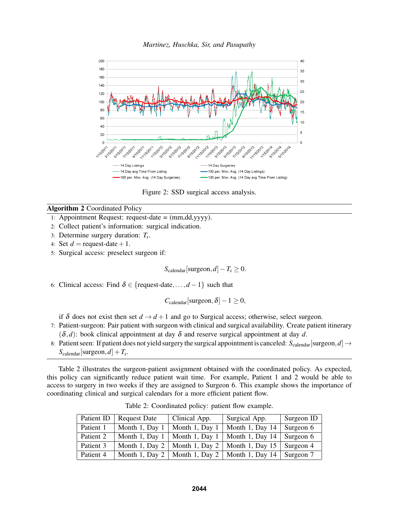



Figure 2: SSD surgical access analysis.

### Algorithm 2 Coordinated Policy

- 1: Appointment Request: request-date = (mm,dd,yyyy).
- 2: Collect patient's information: surgical indication.
- 3: Determine surgery duration: *T<sup>s</sup>* .
- 4: Set  $d =$  request-date + 1.
- 5: Surgical access: preselect surgeon if:

 $S_{\text{calendar}}[\text{s−}$ *T<sub>s</sub>*  $\geq 0$ .

6: Clinical access: Find  $\delta \in \{$  request-date,...,  $d-1\}$  such that

 $C_{\text{calendar}}[\text{s−1} \geq 0,$ 

if  $\delta$  does not exist then set  $d \rightarrow d+1$  and go to Surgical access; otherwise, select surgeon.

- 7: Patient-surgeon: Pair patient with surgeon with clinical and surgical availability. Create patient itinerary  $(\delta, d)$ : book clinical appointment at day  $\delta$  and reserve surgical appointment at day d.
- 8: Patient seen: If patient does not yield surgery the surgical appointment is canceled:  $S_{\text{calendar}}[\text{s−}, d] \rightarrow$  $S_{\text{calendar}}[\text{s−},d] + T_s.$

Table 2 illustrates the surgeon-patient assignment obtained with the coordinated policy. As expected, this policy can significantly reduce patient wait time. For example, Patient 1 and 2 would be able to access to surgery in two weeks if they are assigned to Surgeon 6. This example shows the importance of coordinating clinical and surgical calendars for a more efficient patient flow.

| Table 2: Coordinated policy: patient flow example. |  |
|----------------------------------------------------|--|
|----------------------------------------------------|--|

|           | Patient ID   Request Date | Clinical App.  | Surgical App.                    | Surgeon ID |
|-----------|---------------------------|----------------|----------------------------------|------------|
| Patient 1 | Month 1, Day 1            | Month 1, Day 1 | Month 1, Day 14                  | Surgeon 6  |
| Patient 2 | Month 1, Day 1            | Month 1, Day 1 | Month 1, Day $14$                | Surgeon 6  |
| Patient 3 | Month 1, Day 2 $\vert$    |                | Month 1, Day 2   Month 1, Day 15 | Surgeon 4  |
| Patient 4 | Month 1, Day 2 $\vert$    |                | Month 1, Day 2   Month 1, Day 14 | Surgeon 7  |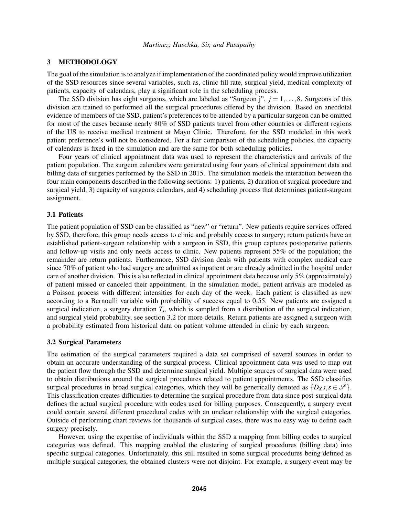### 3 METHODOLOGY

The goal of the simulation is to analyze if implementation of the coordinated policy would improve utilization of the SSD resources since several variables, such as, clinic fill rate, surgical yield, medical complexity of patients, capacity of calendars, play a significant role in the scheduling process.

The SSD division has eight surgeons, which are labeled as "Surgeon j",  $j = 1, \ldots, 8$ . Surgeons of this division are trained to performed all the surgical procedures offered by the division. Based on anecdotal evidence of members of the SSD, patient's preferences to be attended by a particular surgeon can be omitted for most of the cases because nearly 80% of SSD patients travel from other countries or different regions of the US to receive medical treatment at Mayo Clinic. Therefore, for the SSD modeled in this work patient preference's will not be considered. For a fair comparison of the scheduling policies, the capacity of calendars is fixed in the simulation and are the same for both scheduling policies.

Four years of clinical appointment data was used to represent the characteristics and arrivals of the patient population. The surgeon calendars were generated using four years of clinical appointment data and billing data of surgeries performed by the SSD in 2015. The simulation models the interaction between the four main components described in the following sections: 1) patients, 2) duration of surgical procedure and surgical yield, 3) capacity of surgeons calendars, and 4) scheduling process that determines patient-surgeon assignment.

### 3.1 Patients

The patient population of SSD can be classified as "new" or "return". New patients require services offered by SSD, therefore, this group needs access to clinic and probably access to surgery; return patients have an established patient-surgeon relationship with a surgeon in SSD, this group captures postoperative patients and follow-up visits and only needs access to clinic. New patients represent 55% of the population; the remainder are return patients. Furthermore, SSD division deals with patients with complex medical care since 70% of patient who had surgery are admitted as inpatient or are already admitted in the hospital under care of another division. This is also reflected in clinical appointment data because only 5% (approximately) of patient missed or canceled their appointment. In the simulation model, patient arrivals are modeled as a Poisson process with different intensities for each day of the week. Each patient is classified as new according to a Bernoulli variable with probability of success equal to 0.55. New patients are assigned a surgical indication, a surgery duration *T<sup>s</sup>* , which is sampled from a distribution of the surgical indication, and surgical yield probability, see section 3.2 for more details. Return patients are assigned a surgeon with a probability estimated from historical data on patient volume attended in clinic by each surgeon.

### 3.2 Surgical Parameters

The estimation of the surgical parameters required a data set comprised of several sources in order to obtain an accurate understanding of the surgical process. Clinical appointment data was used to map out the patient flow through the SSD and determine surgical yield. Multiple sources of surgical data were used to obtain distributions around the surgical procedures related to patient appointments. The SSD classifies surgical procedures in broad surgical categories, which they will be generically denoted as  $\{D_X s, s \in \mathscr{S}\}\.$ This classification creates difficulties to determine the surgical procedure from data since post-surgical data defines the actual surgical procedure with codes used for billing purposes. Consequently, a surgery event could contain several different procedural codes with an unclear relationship with the surgical categories. Outside of performing chart reviews for thousands of surgical cases, there was no easy way to define each surgery precisely.

However, using the expertise of individuals within the SSD a mapping from billing codes to surgical categories was defined. This mapping enabled the clustering of surgical procedures (billing data) into specific surgical categories. Unfortunately, this still resulted in some surgical procedures being defined as multiple surgical categories, the obtained clusters were not disjoint. For example, a surgery event may be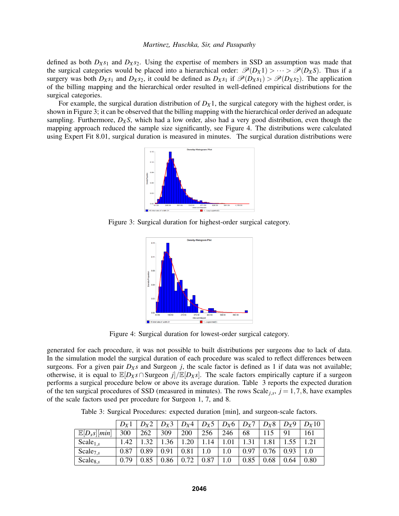defined as both  $D_Xs_1$  and  $D_Xs_2$ . Using the expertise of members in SSD an assumption was made that the surgical categories would be placed into a hierarchical order:  $\mathcal{P}(D_X 1) > \cdots > \mathcal{P}(D_X S)$ . Thus if a surgery was both  $D_Xs_1$  and  $D_Xs_2$ , it could be defined as  $D_Xs_1$  if  $\mathcal{P}(D_Xs_1) > \mathcal{P}(D_Xs_2)$ . The application of the billing mapping and the hierarchical order resulted in well-defined empirical distributions for the surgical categories.

For example, the surgical duration distribution of  $D_X1$ , the surgical category with the highest order, is shown in Figure 3; it can be observed that the billing mapping with the hierarchical order derived an adequate sampling. Furthermore,  $D_X S$ , which had a low order, also had a very good distribution, even though the mapping approach reduced the sample size significantly, see Figure 4. The distributions were calculated using Expert Fit 8.01, surgical duration is measured in minutes. The surgical duration distributions were



Figure 3: Surgical duration for highest-order surgical category.



Figure 4: Surgical duration for lowest-order surgical category.

generated for each procedure, it was not possible to built distributions per surgeons due to lack of data. In the simulation model the surgical duration of each procedure was scaled to reflect differences between surgeons. For a given pair  $D_Xs$  and Surgeon *j*, the scale factor is defined as 1 if data was not available; otherwise, it is equal to  $\mathbb{E}[D_X s \cap \text{S−J}/\mathbb{E}[D_X s]$ . The scale factors empirically capture if a surgeon performs a surgical procedure below or above its average duration. Table 3 reports the expected duration of the ten surgical procedures of SSD (measured in minutes). The rows  $Scale<sub>j,s</sub>$ ,  $j = 1, 7, 8$ , have examples of the scale factors used per procedure for Surgeon 1, 7, and 8.

Table 3: Surgical Procedures: expected duration [min], and surgeon-scale factors.

|                           | $D_{\rm Y}1$ | $D_{\rm Y}$ 2 | $D_X3$ |      |      |         | $D_X4   D_X5   D_X6   D_X7$ | $D_X8$ | $D_{X}9$ | $D_{\rm Y}10$ |
|---------------------------|--------------|---------------|--------|------|------|---------|-----------------------------|--------|----------|---------------|
| $\mathbb{E}[D_{x}s][min]$ | 300          | 262           | 309    | 200  | 256  | 246     | 68                          | 115    | 91       | 161           |
| Scale <sub>1,s</sub>      | 1.42         | 1, 32         | 1.36   | 1.20 | 1.14 | 1.01    |                             | .81    |          | 1.21          |
| Scale <sub>7.s</sub>      | 0.87         | 0.89          | 0.91   | 0.81 | 1.0  | $1.0\,$ | 0.97                        | 76     | 0.93     | 1.0           |
| $Scale_{8,s}$             | 0.79         | 0.85          | 0.86   | 0.72 | 0.87 | 1.0     | 0.85                        | 0.68   | 0.64     | 0.80          |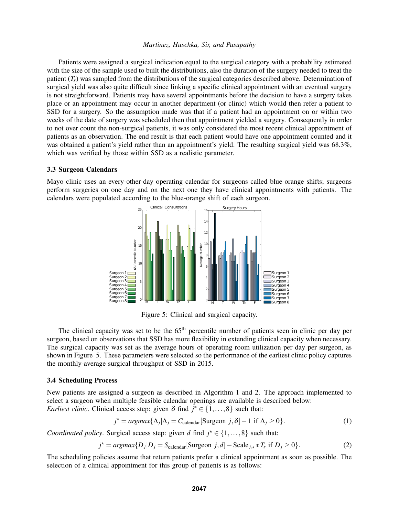Patients were assigned a surgical indication equal to the surgical category with a probability estimated with the size of the sample used to built the distributions, also the duration of the surgery needed to treat the patient  $(T_s)$  was sampled from the distributions of the surgical categories described above. Determination of surgical yield was also quite difficult since linking a specific clinical appointment with an eventual surgery is not straightforward. Patients may have several appointments before the decision to have a surgery takes place or an appointment may occur in another department (or clinic) which would then refer a patient to SSD for a surgery. So the assumption made was that if a patient had an appointment on or within two weeks of the date of surgery was scheduled then that appointment yielded a surgery. Consequently in order to not over count the non-surgical patients, it was only considered the most recent clinical appointment of patients as an observation. The end result is that each patient would have one appointment counted and it was obtained a patient's yield rather than an appointment's yield. The resulting surgical yield was 68.3%, which was verified by those within SSD as a realistic parameter.

#### 3.3 Surgeon Calendars

Mayo clinic uses an every-other-day operating calendar for surgeons called blue-orange shifts; surgeons perform surgeries on one day and on the next one they have clinical appointments with patients. The calendars were populated according to the blue-orange shift of each surgeon.



Figure 5: Clinical and surgical capacity.

The clinical capacity was set to be the 65<sup>th</sup> percentile number of patients seen in clinic per day per surgeon, based on observations that SSD has more flexibility in extending clinical capacity when necessary. The surgical capacity was set as the average hours of operating room utilization per day per surgeon, as shown in Figure 5. These parameters were selected so the performance of the earliest clinic policy captures the monthly-average surgical throughput of SSD in 2015.

### 3.4 Scheduling Process

New patients are assigned a surgeon as described in Algorithm 1 and 2. The approach implemented to select a surgeon when multiple feasible calendar openings are available is described below: *Earliest clinic*. Clinical access step: given  $\delta$  find  $j^* \in \{1, ..., 8\}$  such that:

$$
j^* = argmax{\{\Delta_j | \Delta_j = C_{\text{calendar}}[\text{Surgeon } j, \delta] - 1 \text{ if } \Delta_j \ge 0\}}.
$$
 (1)

*Coordinated policy*. Surgical access step: given *d* find  $j^* \in \{1, ..., 8\}$  such that:

$$
j^* = argmax\{D_j | D_j = S_{\text{calendar}}[\text{Surgeon } j, d] - \text{Scale}_{j,s} * T_s \text{ if } D_j \ge 0\}. \tag{2}
$$

The scheduling policies assume that return patients prefer a clinical appointment as soon as possible. The selection of a clinical appointment for this group of patients is as follows: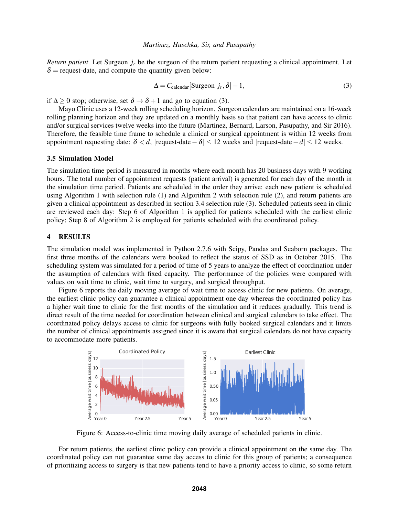*Return patient*. Let Surgeon *j<sup>r</sup>* be the surgeon of the return patient requesting a clinical appointment. Let  $\delta$  = request-date, and compute the quantity given below:

$$
\Delta = C_{\text{calendar}}[\text{Surgeon } j_r, \delta] - 1,\tag{3}
$$

if  $\Delta > 0$  stop; otherwise, set  $\delta \rightarrow \delta + 1$  and go to equation (3).

Mayo Clinic uses a 12-week rolling scheduling horizon. Surgeon calendars are maintained on a 16-week rolling planning horizon and they are updated on a monthly basis so that patient can have access to clinic and/or surgical services twelve weeks into the future (Martinez, Bernard, Larson, Pasupathy, and Sir 2016). Therefore, the feasible time frame to schedule a clinical or surgical appointment is within 12 weeks from appointment requesting date:  $\delta < d$ , |request-date −  $\delta$ | ≤ 12 weeks and |request-date − *d*| ≤ 12 weeks.

### 3.5 Simulation Model

The simulation time period is measured in months where each month has 20 business days with 9 working hours. The total number of appointment requests (patient arrival) is generated for each day of the month in the simulation time period. Patients are scheduled in the order they arrive: each new patient is scheduled using Algorithm 1 with selection rule (1) and Algorithm 2 with selection rule (2), and return patients are given a clinical appointment as described in section 3.4 selection rule (3). Scheduled patients seen in clinic are reviewed each day: Step 6 of Algorithm 1 is applied for patients scheduled with the earliest clinic policy; Step 8 of Algorithm 2 is employed for patients scheduled with the coordinated policy.

## 4 RESULTS

The simulation model was implemented in Python 2.7.6 with Scipy, Pandas and Seaborn packages. The first three months of the calendars were booked to reflect the status of SSD as in October 2015. The scheduling system was simulated for a period of time of 5 years to analyze the effect of coordination under the assumption of calendars with fixed capacity. The performance of the policies were compared with values on wait time to clinic, wait time to surgery, and surgical throughput.

Figure 6 reports the daily moving average of wait time to access clinic for new patients. On average, the earliest clinic policy can guarantee a clinical appointment one day whereas the coordinated policy has a higher wait time to clinic for the first months of the simulation and it reduces gradually. This trend is direct result of the time needed for coordination between clinical and surgical calendars to take effect. The coordinated policy delays access to clinic for surgeons with fully booked surgical calendars and it limits the number of clinical appointments assigned since it is aware that surgical calendars do not have capacity to accommodate more patients.



Figure 6: Access-to-clinic time moving daily average of scheduled patients in clinic.

For return patients, the earliest clinic policy can provide a clinical appointment on the same day. The coordinated policy can not guarantee same day access to clinic for this group of patients; a consequence of prioritizing access to surgery is that new patients tend to have a priority access to clinic, so some return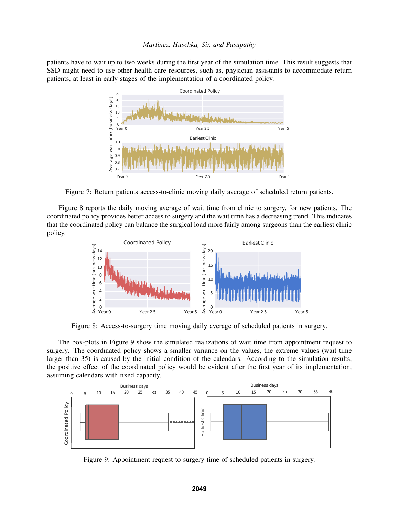patients have to wait up to two weeks during the first year of the simulation time. This result suggests that SSD might need to use other health care resources, such as, physician assistants to accommodate return patients, at least in early stages of the implementation of a coordinated policy.



Figure 7: Return patients access-to-clinic moving daily average of scheduled return patients.

Figure 8 reports the daily moving average of wait time from clinic to surgery, for new patients. The coordinated policy provides better access to surgery and the wait time has a decreasing trend. This indicates that the coordinated policy can balance the surgical load more fairly among surgeons than the earliest clinic policy.



Figure 8: Access-to-surgery time moving daily average of scheduled patients in surgery.

The box-plots in Figure 9 show the simulated realizations of wait time from appointment request to surgery. The coordinated policy shows a smaller variance on the values, the extreme values (wait time larger than 35) is caused by the initial condition of the calendars. According to the simulation results, the positive effect of the coordinated policy would be evident after the first year of its implementation, assuming calendars with fixed capacity.



Figure 9: Appointment request-to-surgery time of scheduled patients in surgery.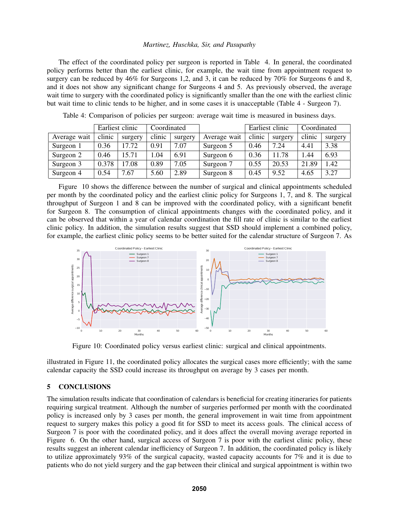The effect of the coordinated policy per surgeon is reported in Table 4. In general, the coordinated policy performs better than the earliest clinic, for example, the wait time from appointment request to surgery can be reduced by 46% for Surgeons 1,2, and 3, it can be reduced by 70% for Surgeons 6 and 8, and it does not show any significant change for Surgeons 4 and 5. As previously observed, the average wait time to surgery with the coordinated policy is significantly smaller than the one with the earliest clinic but wait time to clinic tends to be higher, and in some cases it is unacceptable (Table 4 - Surgeon 7).

|              |        | Earliest clinic | Coordinated |         |              |        | Earliest clinic |        | Coordinated |  |
|--------------|--------|-----------------|-------------|---------|--------------|--------|-----------------|--------|-------------|--|
| Average wait | clinic | surgery         | clinic      | surgery | Average wait | clinic | surgery         | clinic | surgery     |  |
| Surgeon 1    | 0.36   | 17.72           | 0.91        | 7.07    | Surgeon 5    | 0.46   | 7.24            | 4.41   | 3.38        |  |
| Surgeon 2    | 0.46   | 15.71           | 1.04        | 6.91    | Surgeon 6    | 0.36   | 11.78           | l.44   | 6.93        |  |
| Surgeon 3    | 0.378  | 17.08           | 0.89        | 7.05    | Surgeon 7    | 0.55   | 20.53           | 21.89  | 1.42        |  |
| Surgeon 4    | 0.54   | 7.67            | 5.60        | 2.89    | Surgeon 8    | 0.45   | 9.52            | 4.65   | 3.27        |  |

Table 4: Comparison of policies per surgeon: average wait time is measured in business days.

Figure 10 shows the difference between the number of surgical and clinical appointments scheduled per month by the coordinated policy and the earliest clinic policy for Surgeons 1, 7, and 8. The surgical throughput of Surgeon 1 and 8 can be improved with the coordinated policy, with a significant benefit for Surgeon 8. The consumption of clinical appointments changes with the coordinated policy, and it can be observed that within a year of calendar coordination the fill rate of clinic is similar to the earliest clinic policy. In addition, the simulation results suggest that SSD should implement a combined policy, for example, the earliest clinic policy seems to be better suited for the calendar structure of Surgeon 7. As



Figure 10: Coordinated policy versus earliest clinic: surgical and clinical appointments.

illustrated in Figure 11, the coordinated policy allocates the surgical cases more efficiently; with the same calendar capacity the SSD could increase its throughput on average by 3 cases per month.

### 5 CONCLUSIONS

The simulation results indicate that coordination of calendars is beneficial for creating itineraries for patients requiring surgical treatment. Although the number of surgeries performed per month with the coordinated policy is increased only by 3 cases per month, the general improvement in wait time from appointment request to surgery makes this policy a good fit for SSD to meet its access goals. The clinical access of Surgeon 7 is poor with the coordinated policy, and it does affect the overall moving average reported in Figure 6. On the other hand, surgical access of Surgeon 7 is poor with the earliest clinic policy, these results suggest an inherent calendar inefficiency of Surgeon 7. In addition, the coordinated policy is likely to utilize approximately 93% of the surgical capacity, wasted capacity accounts for 7% and it is due to patients who do not yield surgery and the gap between their clinical and surgical appointment is within two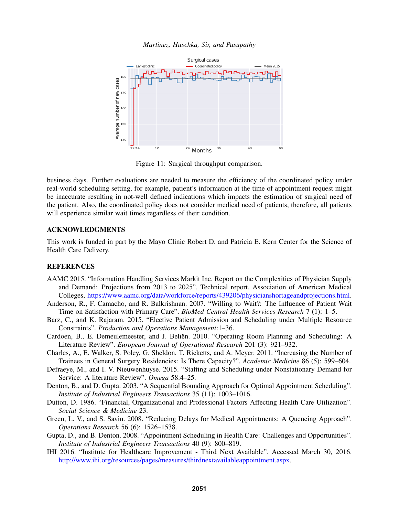

Figure 11: Surgical throughput comparison.

business days. Further evaluations are needed to measure the efficiency of the coordinated policy under real-world scheduling setting, for example, patient's information at the time of appointment request might be inaccurate resulting in not-well defined indications which impacts the estimation of surgical need of the patient. Also, the coordinated policy does not consider medical need of patients, therefore, all patients will experience similar wait times regardless of their condition.

# ACKNOWLEDGMENTS

This work is funded in part by the Mayo Clinic Robert D. and Patricia E. Kern Center for the Science of Health Care Delivery.

#### **REFERENCES**

- AAMC 2015. "Information Handling Services Markit Inc. Report on the Complexities of Physician Supply and Demand: Projections from 2013 to 2025". Technical report, Association of American Medical Colleges, https://www.aamc.org/data/workforce/reports/439206/physicianshortageandprojections.html.
- Anderson, R., F. Camacho, and R. Balkrishnan. 2007. "Willing to Wait?: The Influence of Patient Wait Time on Satisfaction with Primary Care". *BioMed Central Health Services Research* 7 (1): 1–5.
- Barz, C., and K. Rajaram. 2015. "Elective Patient Admission and Scheduling under Multiple Resource Constraints". *Production and Operations Management*:1–36.
- Cardoen, B., E. Demeulemeester, and J. Beliën. 2010. "Operating Room Planning and Scheduling: A Literature Review". *European Journal of Operational Research* 201 (3): 921–932.
- Charles, A., E. Walker, S. Poley, G. Sheldon, T. Ricketts, and A. Meyer. 2011. "Increasing the Number of Trainees in General Surgery Residencies: Is There Capacity?". *Academic Medicine* 86 (5): 599–604.
- Defraeye, M., and I. V. Nieuwenhuyse. 2015. "Staffing and Scheduling under Nonstationary Demand for Service: A literature Review". *Omega* 58:4–25.
- Denton, B., and D. Gupta. 2003. "A Sequential Bounding Approach for Optimal Appointment Scheduling". *Institute of Industrial Engineers Transactions* 35 (11): 1003–1016.
- Dutton, D. 1986. "Financial, Organizational and Professional Factors Affecting Health Care Utilization". *Social Science & Medicine* 23.
- Green, L. V., and S. Savin. 2008. "Reducing Delays for Medical Appointments: A Queueing Approach". *Operations Research* 56 (6): 1526–1538.
- Gupta, D., and B. Denton. 2008. "Appointment Scheduling in Health Care: Challenges and Opportunities". *Institute of Industrial Engineers Transactions* 40 (9): 800–819.
- IHI 2016. "Institute for Healthcare Improvement Third Next Available". Accessed March 30, 2016. http://www.ihi.org/resources/pages/measures/thirdnextavailableappointment.aspx.